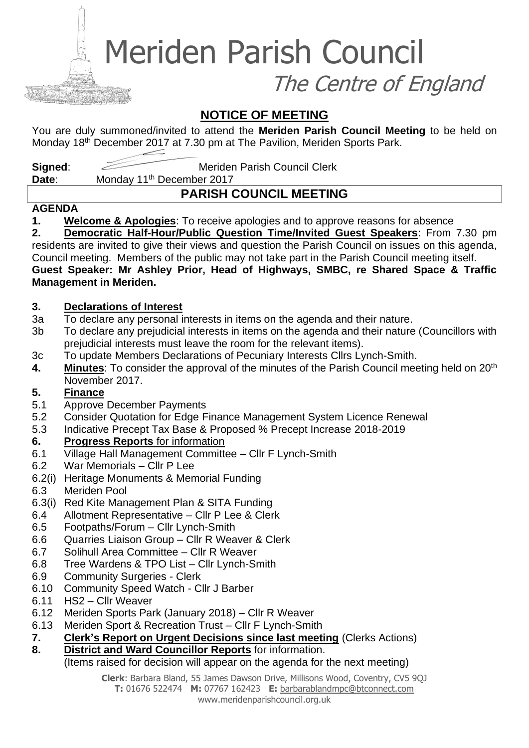Meriden Parish Council

The Centre of England

# **NOTICE OF MEETING**

You are duly summoned/invited to attend the **Meriden Parish Council Meeting** to be held on Monday 18<sup>th</sup> December 2017 at 7.30 pm at The Pavilion, Meriden Sports Park.

**Signed:** Meriden Parish Council Clerk

**Date:** Monday 11<sup>th</sup> December 2017

# **PARISH COUNCIL MEETING**

#### **AGENDA**

**1. Welcome & Apologies**: To receive apologies and to approve reasons for absence

**2. Democratic Half-Hour/Public Question Time/Invited Guest Speakers**: From 7.30 pm residents are invited to give their views and question the Parish Council on issues on this agenda, Council meeting. Members of the public may not take part in the Parish Council meeting itself. **Guest Speaker: Mr Ashley Prior, Head of Highways, SMBC, re Shared Space & Traffic Management in Meriden.**

#### **3. Declarations of Interest**

- 3a To declare any personal interests in items on the agenda and their nature.
- 3b To declare any prejudicial interests in items on the agenda and their nature (Councillors with prejudicial interests must leave the room for the relevant items).
- 3c To update Members Declarations of Pecuniary Interests Cllrs Lynch-Smith.
- **4.** Minutes: To consider the approval of the minutes of the Parish Council meeting held on 20<sup>th</sup> November 2017.

#### **5. Finance**

- 5.1 Approve December Payments
- 5.2 Consider Quotation for Edge Finance Management System Licence Renewal
- 5.3 Indicative Precept Tax Base & Proposed % Precept Increase 2018-2019

#### **6. Progress Reports** for information

- 6.1 Village Hall Management Committee Cllr F Lynch-Smith
- 6.2 War Memorials Cllr P Lee
- 6.2(i) Heritage Monuments & Memorial Funding
- 6.3 Meriden Pool
- 6.3(i) Red Kite Management Plan & SITA Funding
- 6.4 Allotment Representative Cllr P Lee & Clerk
- 6.5 Footpaths/Forum Cllr Lynch-Smith
- 6.6 Quarries Liaison Group Cllr R Weaver & Clerk
- 6.7 Solihull Area Committee Cllr R Weaver
- 6.8 Tree Wardens & TPO List Cllr Lynch-Smith
- 6.9 Community Surgeries Clerk
- 6.10 Community Speed Watch Cllr J Barber
- 6.11 HS2 Cllr Weaver
- 6.12 Meriden Sports Park (January 2018) Cllr R Weaver
- 6.13 Meriden Sport & Recreation Trust Cllr F Lynch-Smith
- **7. Clerk's Report on Urgent Decisions since last meeting** (Clerks Actions)
- **8. District and Ward Councillor Reports** for information.

#### (Items raised for decision will appear on the agenda for the next meeting)

**Clerk**: Barbara Bland, 55 James Dawson Drive, Millisons Wood, Coventry, CV5 9QJ **T:** 01676 522474 **M:** 07767 162423 **E:** [barbarablandmpc@btconnect.com](mailto:barbarablandmpc@btconnect.com) www.meridenparishcouncil.org.uk